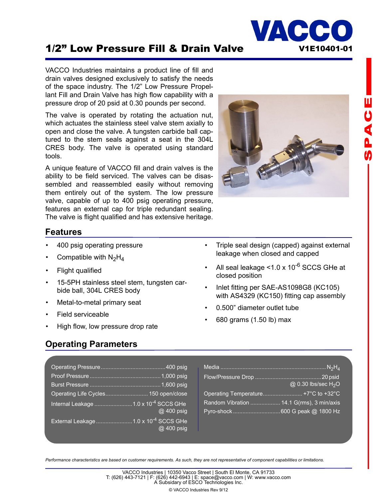# 1/2" Low Pressure Fill & Drain Valve V1E10401-01

VACCO Industries maintains a product line of fill and drain valves designed exclusively to satisfy the needs of the space industry. The 1/2" Low Pressure Propellant Fill and Drain Valve has high flow capability with a pressure drop of 20 psid at 0.30 pounds per second.

The valve is operated by rotating the actuation nut, which actuates the stainless steel valve stem axially to open and close the valve. A tungsten carbide ball captured to the stem seals against a seat in the 304L CRES body. The valve is operated using standard tools.

A unique feature of VACCO fill and drain valves is the ability to be field serviced. The valves can be disassembled and reassembled easily without removing them entirely out of the system. The low pressure valve, capable of up to 400 psig operating pressure, features an external cap for triple redundant sealing. The valve is flight qualified and has extensive heritage.



VACC

#### **Features**

- 400 psig operating pressure
- Compatible with  $N_2H_4$
- Flight qualified
- 15-5PH stainless steel stem, tungsten carbide ball, 304L CRES body
- Metal-to-metal primary seat
- Field serviceable
- High flow, low pressure drop rate

#### **Operating Parameters**

- Triple seal design (capped) against external leakage when closed and capped
- All seal leakage  $<$ 1.0 x 10<sup>-6</sup> SCCS GHe at closed position
- Inlet fitting per SAE-AS1098G8 (KC105) with AS4329 (KC150) fitting cap assembly
- 0.500" diameter outlet tube
- 680 grams (1.50 lb) max

| Operating Life Cycles 150 open/close             |            |
|--------------------------------------------------|------------|
| Internal Leakage 1.0 x 10 <sup>-4</sup> SCCS GHe | @ 400 psig |
| External Leakage 1.0 x 10 <sup>-4</sup> SCCS GHe | @ 400 psig |

|                                           | @ 0.30 lbs/sec H <sub>2</sub> O |
|-------------------------------------------|---------------------------------|
| Operating Temperature +7°C to +32°C       |                                 |
| Random Vibration  14.1 G(rms), 3 min/axis |                                 |
|                                           |                                 |

*Performance characteristics are based on customer requirements. As such, they are not representative of component capabilities or limitations.*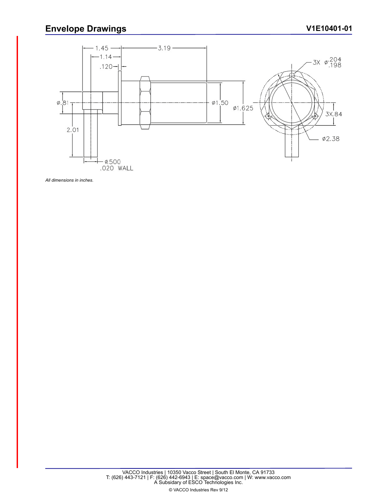## **Envelope Drawings**



*All dimensions in inches.*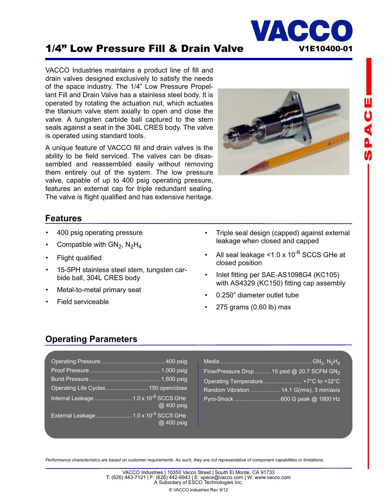

VACCO Industries maintains a product line of fill and drain valves designed exclusively to satisfy the needs of the space industry. The 1/4" Low Pressure Propellant Fill and Drain Valve has a stainless steel body. It is operated by rotating the actuation nut, which actuates the titanium valve stem axially to open and close the valve. A tungsten carbide ball captured to the stem seals against a seat in the 304L CRES body. The valve is operated using standard tools.

A unique feature of VACCO fill and drain valves is the ability to be field serviced. The valves can be disassembled and reassembled easily without removing them entirely out of the system. The low pressure valve, capable of up to 400 psig operating pressure, features an external cap for triple redundant sealing. The valve is flight qualified and has extensive heritage.



VACC

### **Features**

- 400 psig operating pressure
- Compatible with  $GN_2$ ,  $N_2H_4$
- Flight qualified
- 15-5PH stainless steel stem, tungsten carbide ball, 304L CRES body
- Metal-to-metal primary seat
- Field serviceable
- Triple seal design (capped) against external leakage when closed and capped
- All seal leakage  $\leq$ 1.0 x 10<sup>-6</sup> SCCS GHe at closed position
- Inlet fitting per SAE-AS1098G4 (KC105) with AS4329 (KC150) fitting cap assembly
- 0.250" diameter outlet tube
- 275 grams (0.60 lb) max

## **Operating Parameters**

| Operating Life Cycles 150 open/close             |            |
|--------------------------------------------------|------------|
| Internal Leakage 1.0 x 10 <sup>-6</sup> SCCS GHe | @ 400 psig |
| External Leakage 1.0 x 10 <sup>-4</sup> SCCS GHe | @ 400 psig |

| Flow/Pressure Drop  15 psid @ 20.7 SCFM GN <sub>2</sub> |  |
|---------------------------------------------------------|--|
| Operating Temperature +7°C to +32°C                     |  |
|                                                         |  |
|                                                         |  |

**山りくんの** 

*Performance characteristics are based on customer requirements. As such, they are not representative of component capabilities or limitations.*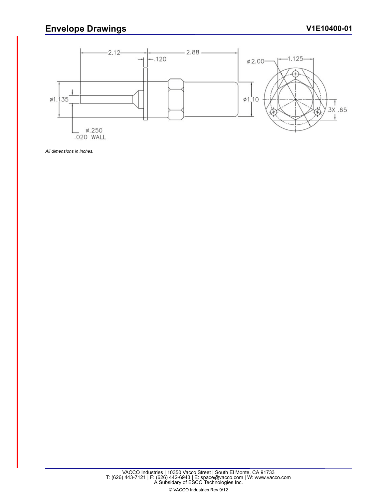## **Envelope Drawings**



*All dimensions in inches.*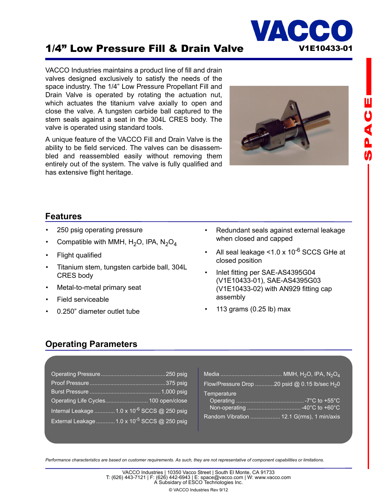

## 1/4" Low Pressure Fill & Drain Valve V1E10433-01

VACCO Industries maintains a product line of fill and drain valves designed exclusively to satisfy the needs of the space industry. The 1/4" Low Pressure Propellant Fill and Drain Valve is operated by rotating the actuation nut, which actuates the titanium valve axially to open and close the valve. A tungsten carbide ball captured to the stem seals against a seat in the 304L CRES body. The valve is operated using standard tools.

A unique feature of the VACCO Fill and Drain Valve is the ability to be field serviced. The valves can be disassembled and reassembled easily without removing them entirely out of the system. The valve is fully qualified and has extensive flight heritage.



# **山りくんの**

#### **Features**

- 250 psig operating pressure
- Compatible with MMH,  $H_2O$ , IPA,  $N_2O_4$
- Flight qualified
- Titanium stem, tungsten carbide ball, 304L CRES body
- Metal-to-metal primary seat
- Field serviceable
- 0.250" diameter outlet tube
- Redundant seals against external leakage when closed and capped
- All seal leakage  $<$ 1.0 x 10<sup>-6</sup> SCCS GHe at closed position
- Inlet fitting per SAE-AS4395G04 (V1E10433-01), SAE-AS4395G03 (V1E10433-02) with AN929 fitting cap assembly
- 113 grams (0.25 lb) max

## **Operating Parameters**

| Operating Life Cycles 100 open/close                     |
|----------------------------------------------------------|
| Internal Leakage  1.0 x 10 <sup>-6</sup> SCCS @ 250 psig |
| External Leakage  1.0 x 10 <sup>-5</sup> SCCS @ 250 psig |

| Flow/Pressure Drop 20 psid @ 0.15 lb/sec $H_2$ 0 |  |
|--------------------------------------------------|--|
| Temperature                                      |  |
|                                                  |  |
| Random Vibration  12.1 G(rms), 1 min/axis        |  |

*Performance characteristics are based on customer requirements. As such, they are not representative of component capabilities or limitations.*